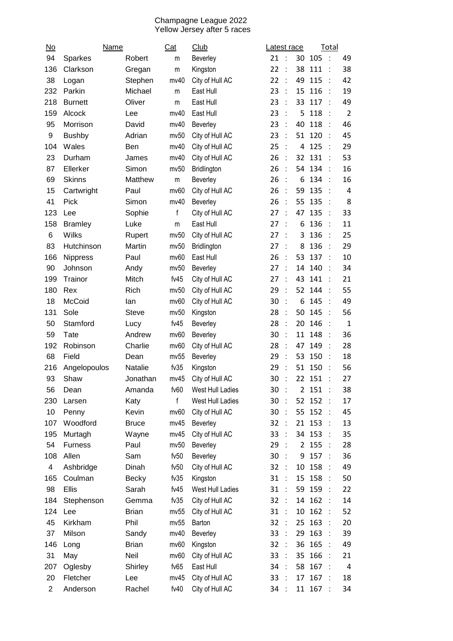## Champagne League 2022 Yellow Jersey after 5 races

| $\underline{\mathsf{No}}$ | Name            |                 | <u>Cat</u>      | Club                         | atest race.                |                |        | Total          |                |
|---------------------------|-----------------|-----------------|-----------------|------------------------------|----------------------------|----------------|--------|----------------|----------------|
| 94                        | Sparkes         | Robert          | m               | Beverley                     | 21<br>$\mathbf{L}$         | 30             | 105    | $\cdot$ :      | 49             |
| 136                       | Clarkson        | Gregan          | m               | Kingston                     | 22<br>÷                    | 38             | 111    | t              | 38             |
| 38                        | Logan           | Stephen         | mv40            | City of Hull AC              | ÷<br>22                    | 49             | 115    |                | 42             |
| 232                       | Parkin          | Michael         | m               | East Hull                    | 23<br>÷                    | 15             | 116    | ÷              | 19             |
| 218                       | <b>Burnett</b>  | Oliver          | m               | East Hull                    | 23<br>$\dot{\mathbf{r}}$   | 33             | 117    | $\cdot$ :      | 49             |
| 159                       | Alcock          | Lee             | mv40            | East Hull                    | 23<br>t                    | 5              | 118    | ÷              | $\overline{2}$ |
| 95                        | Morrison        | David           | mv40            | Beverley                     | 23<br>$\overline{1}$       | 40             | 118    | $\cdot$ :      | 46             |
| 9                         | <b>Bushby</b>   | Adrian          | mv50            | City of Hull AC              | 23<br>t                    | 51             | 120    |                | 45             |
| 104                       | Wales           | Ben             | mv40            | City of Hull AC              | 25<br>÷                    | 4              | 125    |                | 29             |
| 23                        | Durham          | James           | mv40            | City of Hull AC              | 26<br>$\ddot{\phantom{a}}$ | 32             | 131    |                | 53             |
| 87                        | Ellerker        | Simon           | mv50            | Bridlington                  | 26<br>÷                    | 54             | 134    | ÷              | 16             |
| 69                        | <b>Skinns</b>   | Matthew         | m               | Beverley                     | 26<br>$\frac{1}{2}$        | 6              | 134    | $\ddot{\cdot}$ | 16             |
| 15                        | Cartwright      | Paul            | mv60            | City of Hull AC              | 26<br>t                    | 59             | 135    |                | $\overline{4}$ |
| 41                        | Pick            | Simon           | mv40            | Beverley                     | 26<br>÷                    | 55             | 135    | ÷              | 8              |
| 123                       | Lee             | Sophie          | f               | City of Hull AC              | t<br>27                    | 47             | 135    |                | 33             |
| 158                       | <b>Bramley</b>  | Luke            | m               | East Hull                    | 27<br>÷                    | 6              | 136    | ÷              | 11             |
| 6                         | Wilks           | Rupert          | mv50            | City of Hull AC              | 27<br>$\ddot{\cdot}$       | 3              | 136    | ÷              | 25             |
| 83                        | Hutchinson      | Martin          | mv50            | Bridlington                  | 27<br>÷                    | 8              | 136    | ċ              | 29             |
| 166                       | <b>Nippress</b> | Paul            | mv60            | East Hull                    | 26<br>$\ddot{\cdot}$       | 53             | 137    | $\cdot$ :      | 10             |
| 90                        | Johnson         | Andy            | mv50            | Beverley                     | 27<br>t                    | 14             | 140    |                | 34             |
| 199                       | Trainor         | Mitch           | fv45            | City of Hull AC              | 27<br>$\ddot{\phantom{a}}$ | 43             | 141    |                | 21             |
| 180                       | Rex             | Rich            | mv50            | City of Hull AC              | t<br>29                    | 52             | 144    |                | 55             |
| 18                        | McCoid          | lan             | mv60            | City of Hull AC              | 30<br>÷                    | 6              | 145    | ÷              | 49             |
| 131                       | Sole            | <b>Steve</b>    | mv50            | Kingston                     | 28<br>$\ddot{\phantom{a}}$ | 50             | 145    | ÷              | 56             |
| 50                        | Stamford        | Lucy            | fv45            | Beverley                     | 28<br>÷                    | 20             | 146    | ÷              | $\mathbf{1}$   |
| 59                        | Tate            | Andrew          | mv60            | Beverley                     | 30<br>$\cdot$ :            | 11             | 148    | $\cdot$ :      | 36             |
| 192                       | Robinson        | Charlie         | mv60            | City of Hull AC              | 28<br>÷                    | 47             | 149    |                | 28             |
| 68                        | Field           | Dean            | mv55            | Beverley                     | 29<br>÷                    | 53             | 150    |                | 18             |
| 216                       | Angelopoulos    | Natalie         | fv35            | Kingston                     | ÷<br>29                    | 51             | 150    |                | 56             |
| 93                        | Shaw            | Jonathan        | mv45            | City of Hull AC              | 30<br>t                    |                | 22 151 |                | 27             |
| 56                        | Dean            | Amanda          | fv60            | West Hull Ladies             | $\ddot{\phantom{a}}$<br>30 |                | 2 151  | $\cdot$ :      | 38             |
| 230                       | Larsen          | Katy            | f               | West Hull Ladies             | 30<br>$\ddot{\phantom{1}}$ | 52             | 152    | ÷              | 17             |
| 10                        | Penny           | Kevin           | mv60            | City of Hull AC              | 30<br>$\cdot$ :            | 55             | 152    | $\cdot$        | 45             |
| 107                       | Woodford        | <b>Bruce</b>    | mv45            | Beverley                     | 32<br>$\cdot$ :            |                | 21 153 |                | 13             |
| 195                       | Murtagh         | Wayne           | mv45            | City of Hull AC              | 33<br>$\sim$               | 34             | 153    |                | 35             |
| 54                        | <b>Furness</b>  | Paul            | mv50            | Beverley                     | 29<br>$\sim$               | $\overline{2}$ | 155:   |                | 28             |
| 108                       | Allen           | Sam             | fv50            | Beverley                     | 30<br>$\sim$               | 9              | 157    | $\cdot$ :      | 36             |
| 4                         | Ashbridge       | Dinah           | fv50            | City of Hull AC              | 32<br>$\mathbb{R}^2$       | 10             | 158    | $\cdot$ :      | 49             |
| 165                       | Coulman         | <b>Becky</b>    | fv35            | Kingston                     | 31<br>$\cdot$ :            | 15             | 158    |                | 50             |
| 98                        | Ellis           | Sarah           | fv45            | West Hull Ladies             | 31<br>$\cdot$ :            | 59             | 159    | $\cdot$ :      | 22             |
| 184                       | Stephenson      | Gemma           | fv35            | City of Hull AC              | 32<br>$\cdot$ :            | 14             | 162    |                | $14\,$         |
| 124                       | Lee             | <b>Brian</b>    | mv55            | City of Hull AC              | 31<br>$\cdot$ :            | 10             | 162    |                | 52             |
| 45                        | Kirkham         | Phil            | mv55            | Barton                       | 32<br>$\sim$               | 25             | 163    |                | 20             |
| 37                        | Milson          | Sandy           | mv40            | Beverley                     | 33<br>$\ddot{\phantom{a}}$ | 29             | 163    | ÷              | 39             |
| 146                       | Long            | <b>Brian</b>    | mv60            | Kingston                     | 32<br>$\cdot$ :            | 36             | 165    | - 11           | 49             |
|                           |                 |                 |                 |                              | $\mathbf{L}$               |                | 166    |                | 21             |
| 31<br>207                 | May<br>Oglesby  | Neil<br>Shirley | mv60<br>fv $65$ | City of Hull AC<br>East Hull | 33<br>34<br>$\mathcal{L}$  | 35<br>58       | 167    |                | 4              |
| 20                        | Fletcher        |                 | mv45            | City of Hull AC              | 33<br>$\cdot$ :            | 17             | 167    |                | 18             |
|                           |                 | Lee             |                 |                              |                            |                |        |                |                |
| 2                         | Anderson        | Rachel          | fv40            | City of Hull AC              | 34<br>$\sim$               |                | 11 167 | $\mathbb{R}^2$ | 34             |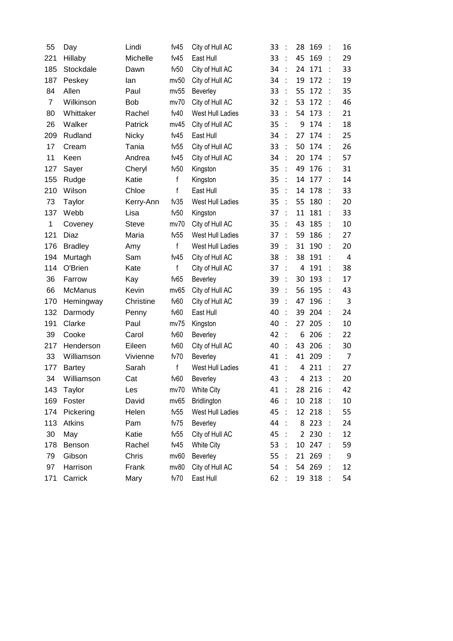| 55             | Day            | Lindi        | fv $45$      | City of Hull AC         | 33 |                      | 28             | 169    | ÷                    | 16             |
|----------------|----------------|--------------|--------------|-------------------------|----|----------------------|----------------|--------|----------------------|----------------|
| 221            | Hillaby        | Michelle     | fv45         | East Hull               | 33 | ÷                    | 45             | 169    | $\ddot{\phantom{a}}$ | 29             |
| 185            | Stockdale      | Dawn         | fv50         | City of Hull AC         | 34 | $\overline{1}$       | 24             | 171    |                      | 33             |
| 187            | Peskey         | lan          | mv50         | City of Hull AC         | 34 | ÷                    | 19             | 172    | ÷                    | 19             |
| 84             | Allen          | Paul         | mv55         | Beverley                | 33 | ÷                    | 55             | 172    | $\ddot{\phantom{a}}$ | 35             |
| $\overline{7}$ | Wilkinson      | <b>Bob</b>   | mv70         | City of Hull AC         | 32 |                      | 53             | 172    |                      | 46             |
| 80             | Whittaker      | Rachel       | fv40         | West Hull Ladies        | 33 | $\cdot$ :            | 54             | 173    | ÷                    | 21             |
| 26             | Walker         | Patrick      | mv45         | City of Hull AC         | 35 | t                    | 9              | 174    |                      | 18             |
| 209            | Rudland        | <b>Nicky</b> | fv45         | East Hull               | 34 | ÷                    | 27             | 174    | ÷                    | 25             |
| 17             | Cream          | Tania        | fv55         | City of Hull AC         | 33 | $\cdot$ :            | 50             | 174    | ÷                    | 26             |
| 11             | Keen           | Andrea       | fv45         | City of Hull AC         | 34 | ÷                    | 20             | 174    | $\ddot{\phantom{a}}$ | 57             |
| 127            | Sayer          | Cheryl       | fv50         | Kingston                | 35 | $\overline{1}$       | 49             | 176    | $\ddot{\phantom{a}}$ | 31             |
| 155            | Rudge          | Katie        | f            | Kingston                | 35 | ÷                    | 14             | 177    |                      | 14             |
| 210            | Wilson         | Chloe        | f            | East Hull               | 35 | ÷                    | 14             | 178    | ÷                    | 33             |
| 73             | Taylor         | Kerry-Ann    | fv35         | West Hull Ladies        | 35 | ÷                    | 55             | 180    | $\ddot{\phantom{a}}$ | 20             |
| 137            | Webb           | Lisa         | fv50         | Kingston                | 37 | ÷                    | 11             | 181    | ÷                    | 33             |
| $\mathbf 1$    | Coveney        | Steve        | mv70         | City of Hull AC         | 35 | $\ddot{\phantom{a}}$ | 43             | 185    | ÷                    | 10             |
| 121            | Diaz           | Maria        | fv55         | West Hull Ladies        | 37 |                      | 59             | 186    |                      | 27             |
| 176            | <b>Bradley</b> | Amy          | $\mathsf{f}$ | West Hull Ladies        | 39 | ÷.                   | 31             | 190    | ÷                    | 20             |
| 194            | Murtagh        | Sam          | fv $45$      | City of Hull AC         | 38 | $\ddot{\cdot}$       | 38             | 191    |                      | $\overline{4}$ |
| 114            | O'Brien        | Kate         | f            | City of Hull AC         | 37 | $\ddot{\phantom{a}}$ | 4              | 191    | t                    | 38             |
| 36             | Farrow         | Kay          | fv $65$      | Beverley                | 39 | $\ddot{\phantom{a}}$ | 30             | 193    | t                    | 17             |
| 66             | <b>McManus</b> | Kevin        | mv65         | City of Hull AC         | 39 | ÷                    | 56             | 195    | ÷                    | 43             |
| 170            | Hemingway      | Christine    | fv60         | City of Hull AC         | 39 | $\dot{\mathcal{L}}$  | 47             | 196    | $\ddot{\phantom{a}}$ | $\overline{3}$ |
| 132            | Darmody        | Penny        | fv60         | East Hull               | 40 | ÷                    | 39             | 204    |                      | 24             |
| 191            | Clarke         | Paul         | mv75         | Kingston                | 40 | $\mathbf{r}$         | 27             | 205    | ÷                    | 10             |
| 39             | Cooke          | Carol        | fv60         | Beverley                | 42 |                      | 6              | 206    |                      | 22             |
| 217            | Henderson      | Eileen       | fv60         | City of Hull AC         | 40 | ÷                    | 43             | 206    | ÷                    | 30             |
| 33             | Williamson     | Vivienne     | fv70         | Beverley                | 41 | $\dot{\mathcal{L}}$  | 41             | 209    | ÷                    | $\overline{7}$ |
| 177            | <b>Bartey</b>  | Sarah        | f            | <b>West Hull Ladies</b> | 41 |                      | 4              | 211    |                      | 27             |
| 34             | Williamson     | Cat          | fv60         | Beverley                | 43 |                      | 4              | 213    |                      | 20             |
| 143            | Taylor         | Les          | mv70         | <b>White City</b>       | 41 | $\cdot$ :            |                | 28 216 |                      | 42             |
| 169            | Foster         | David        | mv65         | Bridlington             | 46 | $\cdot$ :            | 10             | 218    | ÷                    | 10             |
| 174            | Pickering      | Helen        | fv $55$      | West Hull Ladies        | 45 | $\cdot$ :            | 12             | 218    |                      | 55             |
| 113            | Atkins         | Pam          | fv75         | Beverley                | 44 |                      | 8              | 223    | ÷                    | 24             |
| 30             | May            | Katie        | fv $55$      | City of Hull AC         | 45 | $\mathbb{R}^2$       | $\overline{2}$ | 230    | ÷                    | 12             |
| 178            | Benson         | Rachel       | fv45         | White City              | 53 |                      | 10             | 247    |                      | 59             |
| 79             | Gibson         | Chris        | mv60         | Beverley                | 55 | $\cdot$ :            | 21             | 269    | ÷                    | 9              |
| 97             | Harrison       | Frank        | mv80         | City of Hull AC         | 54 | ÷                    |                | 54 269 |                      | 12             |
| 171            | Carrick        | Mary         | fv70         | East Hull               | 62 | - 1                  |                | 19 318 |                      | 54             |